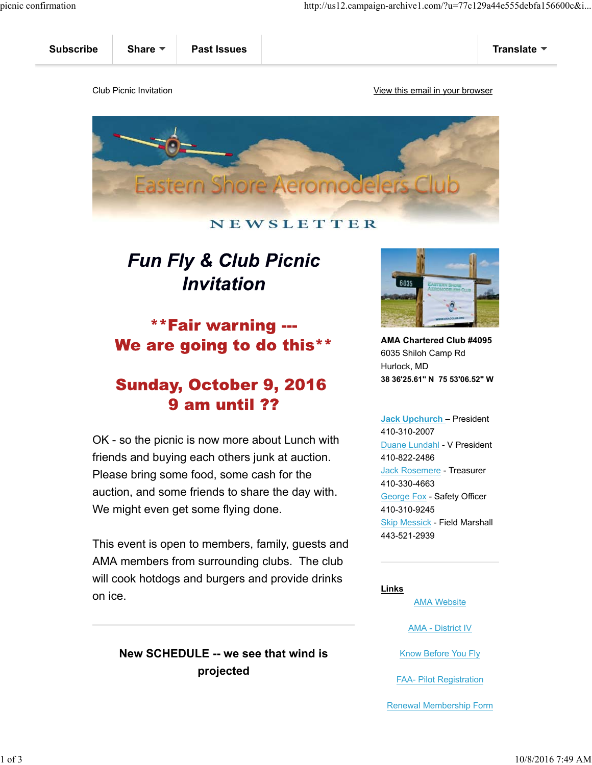

### NEWSLETTER

# **Fun Fly & Club Picnic** Invitation

## \*\*Fair warning ---We are going to do this\*\*

## **Sunday, October 9, 2016** 9 am until ??

OK - so the picnic is now more about Lunch with friends and buying each others junk at auction. Please bring some food, some cash for the auction, and some friends to share the day with. We might even get some flying done.

This event is open to members, family, guests and AMA members from surrounding clubs. The club will cook hotdogs and burgers and provide drinks on ice.

## **New SCHEDULE -- we see that wind is projected**



**AMA Chartered Club #4095** 6035 Shiloh Camp Rd Hurlock, MD **38 36'25.61" N 75 53'06.52" W**

**Jack Upchurch** – President 410-310-2007 Duane Lundahl - V President 410-822-2486 Jack Rosemere - Treasurer 410-330-4663 George Fox - Safety Officer 410-310-9245 Skip Messick - Field Marshall 443-521-2939

#### **Links**

AMA Website

AMA - District IV

Know Before You Fly

FAA- Pilot Registration

Renewal Membership Form